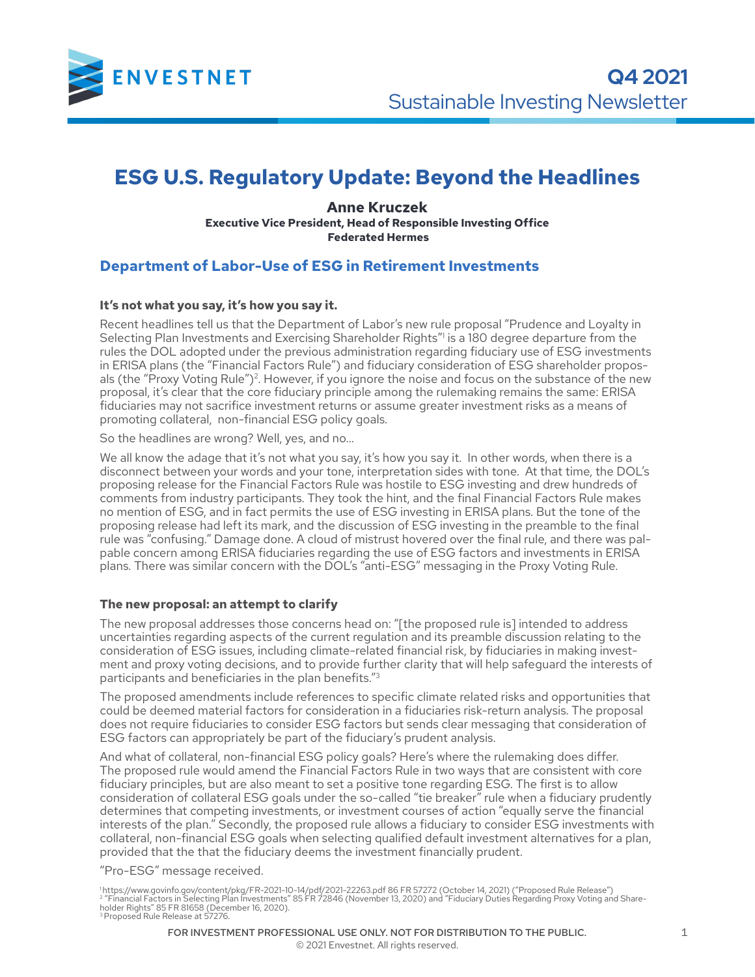

# **ESG U.S. Regulatory Update: Beyond the Headlines**

**Anne Kruczek Executive Vice President, Head of Responsible Investing Office Federated Hermes**

### **Department of Labor-Use of ESG in Retirement Investments**

#### **It's not what you say, it's how you say it.**

Recent headlines tell us that the Department of Labor's new rule proposal "Prudence and Loyalty in Selecting Plan Investments and Exercising Shareholder Rights"<sup>1</sup> is a 180 degree departure from the rules the DOL adopted under the previous administration regarding fiduciary use of ESG investments in ERISA plans (the "Financial Factors Rule") and fiduciary consideration of ESG shareholder proposals (the "Proxy Voting Rule")<sup>2</sup>. However, if you ignore the noise and focus on the substance of the new proposal, it's clear that the core fiduciary principle among the rulemaking remains the same: ERISA fiduciaries may not sacrifice investment returns or assume greater investment risks as a means of promoting collateral, non-financial ESG policy goals.

So the headlines are wrong? Well, yes, and no…

We all know the adage that it's not what you say, it's how you say it. In other words, when there is a disconnect between your words and your tone, interpretation sides with tone. At that time, the DOL's proposing release for the Financial Factors Rule was hostile to ESG investing and drew hundreds of comments from industry participants. They took the hint, and the final Financial Factors Rule makes no mention of ESG, and in fact permits the use of ESG investing in ERISA plans. But the tone of the proposing release had left its mark, and the discussion of ESG investing in the preamble to the final rule was "confusing." Damage done. A cloud of mistrust hovered over the final rule, and there was palpable concern among ERISA fiduciaries regarding the use of ESG factors and investments in ERISA plans. There was similar concern with the DOL's "anti-ESG" messaging in the Proxy Voting Rule.

#### **The new proposal: an attempt to clarify**

The new proposal addresses those concerns head on: "[the proposed rule is] intended to address uncertainties regarding aspects of the current regulation and its preamble discussion relating to the consideration of ESG issues, including climate-related financial risk, by fiduciaries in making investment and proxy voting decisions, and to provide further clarity that will help safeguard the interests of participants and beneficiaries in the plan benefits."3

The proposed amendments include references to specific climate related risks and opportunities that could be deemed material factors for consideration in a fiduciaries risk-return analysis. The proposal does not require fiduciaries to consider ESG factors but sends clear messaging that consideration of ESG factors can appropriately be part of the fiduciary's prudent analysis.

And what of collateral, non-financial ESG policy goals? Here's where the rulemaking does differ. The proposed rule would amend the Financial Factors Rule in two ways that are consistent with core fiduciary principles, but are also meant to set a positive tone regarding ESG. The first is to allow consideration of collateral ESG goals under the so-called "tie breaker" rule when a fiduciary prudently determines that competing investments, or investment courses of action "equally serve the financial interests of the plan." Secondly, the proposed rule allows a fiduciary to consider ESG investments with collateral, non-financial ESG goals when selecting qualified default investment alternatives for a plan, provided that the that the fiduciary deems the investment financially prudent.

"Pro-ESG" message received.

'https://www.govinfo.gov/content/pkg/FR-2021-10-14/pdf/2021-22263.pdf 86 FR 57272 (October 14, 2021) ("Proposed Rule Release")<br><sup>2 </sup>"Financial Factors in Selecting Plan Investments" 85 FR 72846 (November 13, 2020) and "Fidu 3 Proposed Rule Release at 57276.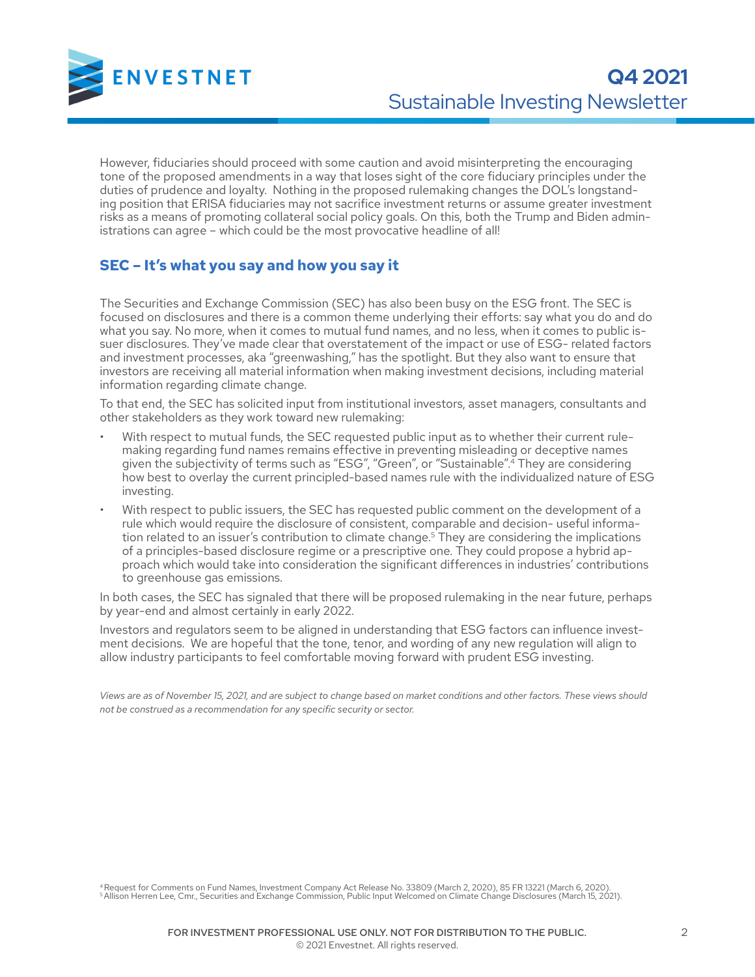

However, fiduciaries should proceed with some caution and avoid misinterpreting the encouraging tone of the proposed amendments in a way that loses sight of the core fiduciary principles under the duties of prudence and loyalty. Nothing in the proposed rulemaking changes the DOL's longstanding position that ERISA fiduciaries may not sacrifice investment returns or assume greater investment risks as a means of promoting collateral social policy goals. On this, both the Trump and Biden administrations can agree – which could be the most provocative headline of all!

## **SEC – It's what you say and how you say it**

The Securities and Exchange Commission (SEC) has also been busy on the ESG front. The SEC is focused on disclosures and there is a common theme underlying their efforts: say what you do and do what you say. No more, when it comes to mutual fund names, and no less, when it comes to public issuer disclosures. They've made clear that overstatement of the impact or use of ESG- related factors and investment processes, aka "greenwashing," has the spotlight. But they also want to ensure that investors are receiving all material information when making investment decisions, including material information regarding climate change.

To that end, the SEC has solicited input from institutional investors, asset managers, consultants and other stakeholders as they work toward new rulemaking:

- With respect to mutual funds, the SEC requested public input as to whether their current rulemaking regarding fund names remains effective in preventing misleading or deceptive names given the subjectivity of terms such as "ESG", "Green", or "Sustainable".4 They are considering how best to overlay the current principled-based names rule with the individualized nature of ESG investing.
- With respect to public issuers, the SEC has requested public comment on the development of a rule which would require the disclosure of consistent, comparable and decision- useful information related to an issuer's contribution to climate change.<sup>5</sup> They are considering the implications of a principles-based disclosure regime or a prescriptive one. They could propose a hybrid approach which would take into consideration the significant differences in industries' contributions to greenhouse gas emissions.

In both cases, the SEC has signaled that there will be proposed rulemaking in the near future, perhaps by year-end and almost certainly in early 2022.

Investors and regulators seem to be aligned in understanding that ESG factors can influence investment decisions. We are hopeful that the tone, tenor, and wording of any new regulation will align to allow industry participants to feel comfortable moving forward with prudent ESG investing.

*Views are as of November 15, 2021, and are subject to change based on market conditions and other factors. These views should not be construed as a recommendation for any specific security or sector.*

<sup>4</sup> Request for Comments on Fund Names, Investment Company Act Release No. 33809 (March 2, 2020), 85 FR 13221 (March 6, 2020).<br><sup>5</sup> Allison Herren Lee, Cmr., Securities and Exchange Commission, Public Input Welcomed on Clim